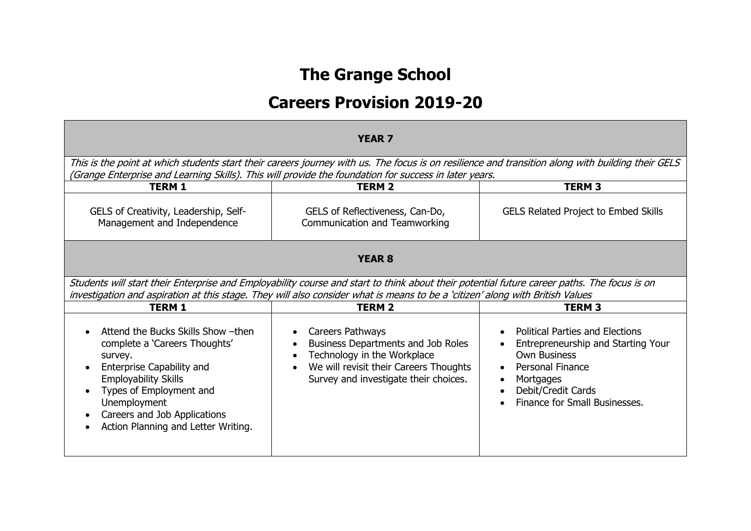# **The Grange School**

## **Careers Provision 2019-20**

| <b>YEAR 7</b>                                                                                                                                                                                                                                                                                  |                                                                                                                                                                                                                 |                                                                                                                                                                                                                 |
|------------------------------------------------------------------------------------------------------------------------------------------------------------------------------------------------------------------------------------------------------------------------------------------------|-----------------------------------------------------------------------------------------------------------------------------------------------------------------------------------------------------------------|-----------------------------------------------------------------------------------------------------------------------------------------------------------------------------------------------------------------|
| This is the point at which students start their careers journey with us. The focus is on resilience and transition along with building their GELS<br>(Grange Enterprise and Learning Skills). This will provide the foundation for success in later years.                                     |                                                                                                                                                                                                                 |                                                                                                                                                                                                                 |
| <b>TERM 1</b>                                                                                                                                                                                                                                                                                  | <b>TERM 2</b>                                                                                                                                                                                                   | <b>TERM 3</b>                                                                                                                                                                                                   |
| GELS of Creativity, Leadership, Self-<br>Management and Independence                                                                                                                                                                                                                           | GELS of Reflectiveness, Can-Do,<br>Communication and Teamworking                                                                                                                                                | <b>GELS Related Project to Embed Skills</b>                                                                                                                                                                     |
| <b>YEAR 8</b>                                                                                                                                                                                                                                                                                  |                                                                                                                                                                                                                 |                                                                                                                                                                                                                 |
| Students will start their Enterprise and Employability course and start to think about their potential future career paths. The focus is on<br>investigation and aspiration at this stage. They will also consider what is means to be a 'citizen' along with British Values                   |                                                                                                                                                                                                                 |                                                                                                                                                                                                                 |
| <b>TERM 1</b>                                                                                                                                                                                                                                                                                  | <b>TERM 2</b>                                                                                                                                                                                                   | <b>TERM3</b>                                                                                                                                                                                                    |
| Attend the Bucks Skills Show - then<br>$\bullet$<br>complete a 'Careers Thoughts'<br>survey.<br><b>Enterprise Capability and</b><br>$\bullet$<br><b>Employability Skills</b><br>Types of Employment and<br>Unemployment<br>Careers and Job Applications<br>Action Planning and Letter Writing. | Careers Pathways<br>$\bullet$<br>Business Departments and Job Roles<br>$\bullet$<br>Technology in the Workplace<br>We will revisit their Careers Thoughts<br>$\bullet$<br>Survey and investigate their choices. | <b>Political Parties and Elections</b><br>Entrepreneurship and Starting Your<br><b>Own Business</b><br><b>Personal Finance</b><br>$\bullet$<br>Mortgages<br>Debit/Credit Cards<br>Finance for Small Businesses. |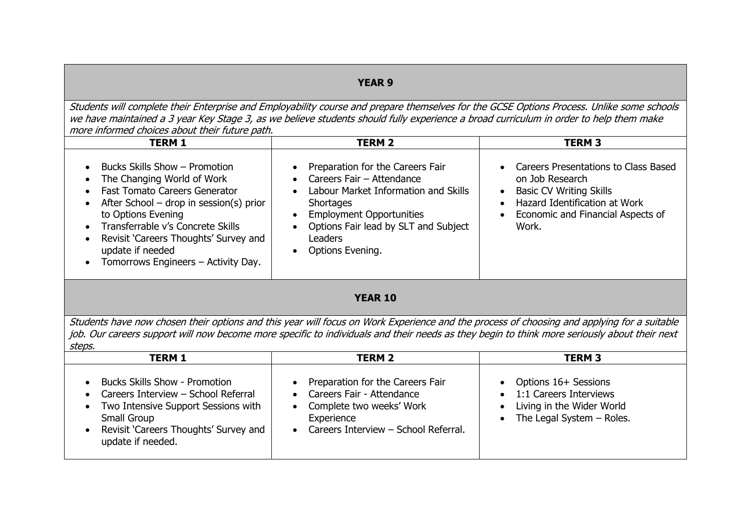## **YEAR 9**

Students will complete their Enterprise and Employability course and prepare themselves for the GCSE Options Process. Unlike some schools we have maintained a 3 year Key Stage 3, as we believe students should fully experience a broad curriculum in order to help them make more informed choices about their future path.

| <b>TERM 1</b>                                                                                                                                                                                                                                                                                                                                                                               | <b>TERM 2</b>                                                                                                                                                                                                                                                                                                     | <b>TERM 3</b>                                                                                                                                                                                        |
|---------------------------------------------------------------------------------------------------------------------------------------------------------------------------------------------------------------------------------------------------------------------------------------------------------------------------------------------------------------------------------------------|-------------------------------------------------------------------------------------------------------------------------------------------------------------------------------------------------------------------------------------------------------------------------------------------------------------------|------------------------------------------------------------------------------------------------------------------------------------------------------------------------------------------------------|
| Bucks Skills Show - Promotion<br>$\bullet$<br>The Changing World of Work<br>$\bullet$<br><b>Fast Tomato Careers Generator</b><br>After School – drop in session(s) prior<br>$\bullet$<br>to Options Evening<br>Transferrable v's Concrete Skills<br>$\bullet$<br>Revisit 'Careers Thoughts' Survey and<br>$\bullet$<br>update if needed<br>Tomorrows Engineers - Activity Day.<br>$\bullet$ | Preparation for the Careers Fair<br>$\bullet$<br>Careers Fair - Attendance<br>$\bullet$<br>Labour Market Information and Skills<br>$\bullet$<br><b>Shortages</b><br><b>Employment Opportunities</b><br>$\bullet$<br>Options Fair lead by SLT and Subject<br>$\bullet$<br>Leaders<br>Options Evening.<br>$\bullet$ | • Careers Presentations to Class Based<br>on Job Research<br><b>Basic CV Writing Skills</b><br>$\bullet$<br>Hazard Identification at Work<br>Economic and Financial Aspects of<br>$\bullet$<br>Work. |
|                                                                                                                                                                                                                                                                                                                                                                                             |                                                                                                                                                                                                                                                                                                                   |                                                                                                                                                                                                      |

#### **YEAR 10**

Students have now chosen their options and this year will focus on Work Experience and the process of choosing and applying for a suitable job. Our careers support will now become more specific to individuals and their needs as they begin to think more seriously about their next steps.

| <b>TERM 1</b>                                                                                                                                                                                     | <b>TERM 2</b>                                                                                                                                                                 | <b>TERM 3</b>                                                                                                                                                  |
|---------------------------------------------------------------------------------------------------------------------------------------------------------------------------------------------------|-------------------------------------------------------------------------------------------------------------------------------------------------------------------------------|----------------------------------------------------------------------------------------------------------------------------------------------------------------|
| <b>Bucks Skills Show - Promotion</b><br>Careers Interview - School Referral<br>• Two Intensive Support Sessions with<br>Small Group<br>Revisit 'Careers Thoughts' Survey and<br>update if needed. | Preparation for the Careers Fair<br>$\bullet$<br>• Careers Fair - Attendance<br>Complete two weeks' Work<br>$\bullet$<br>Experience<br>• Careers Interview - School Referral. | Options 16+ Sessions<br>$\bullet$<br>1:1 Careers Interviews<br>$\bullet$<br>Living in the Wider World<br>$\bullet$<br>The Legal System $-$ Roles.<br>$\bullet$ |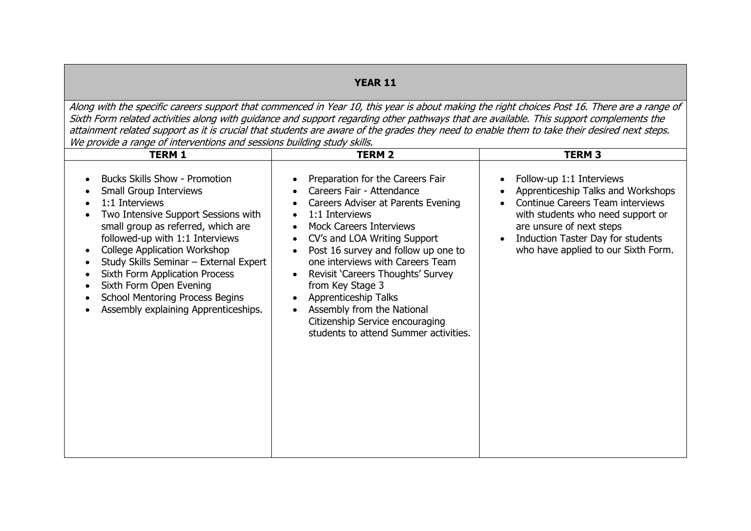## **YEAR 11**

Along with the specific careers support that commenced in Year 10, this year is about making the right choices Post 16. There are a range of Sixth Form related activities along with guidance and support regarding other pathways that are available. This support complements the attainment related support as it is crucial that students are aware of the grades they need to enable them to take their desired next steps. We provide a range of interventions and sessions building study skills.

| <b>TERM 1</b>                                                                                                                                                                                                                                                                                                                                                                                                                                                     | <b>TERM 2</b>                                                                                                                                                                                                                                                                                                                                                                                                                                                                                                                                                         | <b>TERM 3</b>                                                                                                                                                                                                                                                                          |
|-------------------------------------------------------------------------------------------------------------------------------------------------------------------------------------------------------------------------------------------------------------------------------------------------------------------------------------------------------------------------------------------------------------------------------------------------------------------|-----------------------------------------------------------------------------------------------------------------------------------------------------------------------------------------------------------------------------------------------------------------------------------------------------------------------------------------------------------------------------------------------------------------------------------------------------------------------------------------------------------------------------------------------------------------------|----------------------------------------------------------------------------------------------------------------------------------------------------------------------------------------------------------------------------------------------------------------------------------------|
| <b>Bucks Skills Show - Promotion</b><br>Small Group Interviews<br>1:1 Interviews<br>Two Intensive Support Sessions with<br>small group as referred, which are<br>followed-up with 1:1 Interviews<br><b>College Application Workshop</b><br>$\bullet$<br>Study Skills Seminar - External Expert<br><b>Sixth Form Application Process</b><br>Sixth Form Open Evening<br><b>School Mentoring Process Begins</b><br>Assembly explaining Apprenticeships.<br>$\bullet$ | Preparation for the Careers Fair<br>$\bullet$<br>Careers Fair - Attendance<br>Careers Adviser at Parents Evening<br>$\bullet$<br>1:1 Interviews<br>$\bullet$<br><b>Mock Careers Interviews</b><br>$\bullet$<br>CV's and LOA Writing Support<br>$\bullet$<br>Post 16 survey and follow up one to<br>$\bullet$<br>one interviews with Careers Team<br>Revisit 'Careers Thoughts' Survey<br>from Key Stage 3<br>Apprenticeship Talks<br>$\bullet$<br>Assembly from the National<br>$\bullet$<br>Citizenship Service encouraging<br>students to attend Summer activities. | Follow-up 1:1 Interviews<br>$\bullet$<br>Apprenticeship Talks and Workshops<br>Continue Careers Team interviews<br>$\bullet$<br>with students who need support or<br>are unsure of next steps<br>Induction Taster Day for students<br>$\bullet$<br>who have applied to our Sixth Form. |